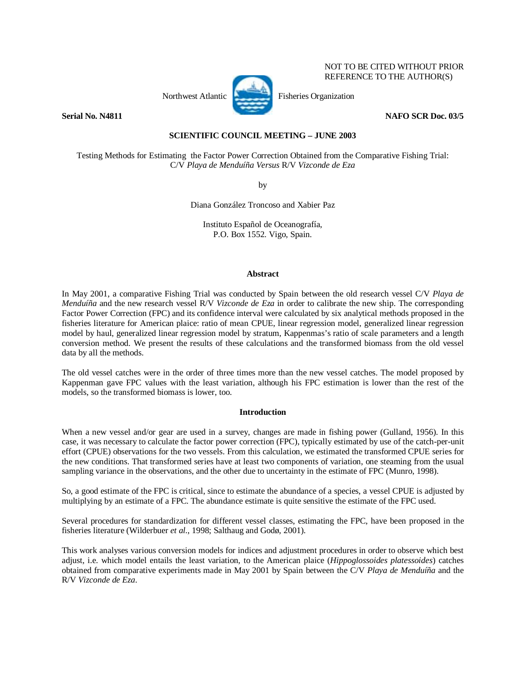**Serial No. N4811** NAFO SCR Doc. 03/5

NOT TO BE CITED WITHOUT PRIOR REFERENCE TO THE AUTHOR(S)

# **SCIENTIFIC COUNCIL MEETING – JUNE 2003**

Testing Methods for Estimating the Factor Power Correction Obtained from the Comparative Fishing Trial: C/V *Playa de Menduíña Versus* R/V *Vizconde de Eza* 

by

Diana González Troncoso and Xabier Paz

Instituto Español de Oceanografía, P.O. Box 1552. Vigo, Spain.

## **Abstract**

In May 2001, a comparative Fishing Trial was conducted by Spain between the old research vessel C/V *Playa de Menduíña* and the new research vessel R/V *Vizconde de Eza* in order to calibrate the new ship. The corresponding Factor Power Correction (FPC) and its confidence interval were calculated by six analytical methods proposed in the fisheries literature for American plaice: ratio of mean CPUE, linear regression model, generalized linear regression model by haul, generalized linear regression model by stratum, Kappenmas's ratio of scale parameters and a length conversion method. We present the results of these calculations and the transformed biomass from the old vessel data by all the methods.

The old vessel catches were in the order of three times more than the new vessel catches. The model proposed by Kappenman gave FPC values with the least variation, although his FPC estimation is lower than the rest of the models, so the transformed biomass is lower, too.

## **Introduction**

When a new vessel and/or gear are used in a survey, changes are made in fishing power (Gulland, 1956). In this case, it was necessary to calculate the factor power correction (FPC), typically estimated by use of the catch-per-unit effort (CPUE) observations for the two vessels. From this calculation, we estimated the transformed CPUE series for the new conditions. That transformed series have at least two components of variation, one steaming from the usual sampling variance in the observations, and the other due to uncertainty in the estimate of FPC (Munro, 1998).

So, a good estimate of the FPC is critical, since to estimate the abundance of a species, a vessel CPUE is adjusted by multiplying by an estimate of a FPC. The abundance estimate is quite sensitive the estimate of the FPC used.

Several procedures for standardization for different vessel classes, estimating the FPC, have been proposed in the fisheries literature (Wilderbuer *et al.*, 1998; Salthaug and Godø, 2001).

This work analyses various conversion models for indices and adjustment procedures in order to observe which best adjust, i.e. which model entails the least variation, to the American plaice (*Hippoglossoides platessoides*) catches obtained from comparative experiments made in May 2001 by Spain between the C/V *Playa de Menduíña* and the R/V *Vizconde de Eza*.

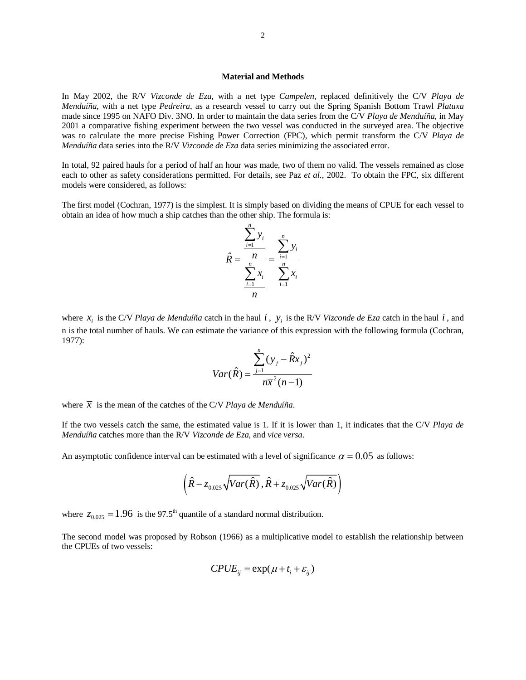## **Material and Methods**

In May 2002, the R/V *Vizconde de Eza*, with a net type *Campelen*, replaced definitively the C/V *Playa de Menduíña*, with a net type *Pedreira*, as a research vessel to carry out the Spring Spanish Bottom Trawl *Platuxa* made since 1995 on NAFO Div. 3NO. In order to maintain the data series from the C/V *Playa de Menduíña*, in May 2001 a comparative fishing experiment between the two vessel was conducted in the surveyed area. The objective was to calculate the more precise Fishing Power Correction (FPC), which permit transform the C/V *Playa de Menduíña* data series into the R/V *Vizconde de Eza* data series minimizing the associated error.

In total, 92 paired hauls for a period of half an hour was made, two of them no valid. The vessels remained as close each to other as safety considerations permitted. For details, see Paz *et al.*, 2002. To obtain the FPC, six different models were considered, as follows:

The first model (Cochran, 1977) is the simplest. It is simply based on dividing the means of CPUE for each vessel to obtain an idea of how much a ship catches than the other ship. The formula is:

$$
\hat{R} = \frac{\sum_{i=1}^{n} y_i}{\sum_{i=1}^{n} x_i} = \frac{\sum_{i=1}^{n} y_i}{\sum_{i=1}^{n} x_i}
$$

where  $x_i$  is the C/V *Playa de Menduíña* catch in the haul  $i$ ,  $y_i$  is the R/V *Vizconde de Eza* catch in the haul  $i$ , and n is the total number of hauls. We can estimate the variance of this expression with the following formula (Cochran, 1977):

$$
Var(\hat{R}) = \frac{\sum_{j=1}^{n} (y_j - \hat{R}x_j)^2}{n\overline{x}^2(n-1)}
$$

where  $\bar{x}$  is the mean of the catches of the C/V *Playa de Menduíña*.

If the two vessels catch the same, the estimated value is 1. If it is lower than 1, it indicates that the C/V *Playa de Menduíña* catches more than the R/V *Vizconde de Eza*, and *vice versa*.

An asymptotic confidence interval can be estimated with a level of significance  $\alpha = 0.05$  as follows:

$$
\left(\hat{R} - z_{0.025}\sqrt{Var(\hat{R})}, \hat{R} + z_{0.025}\sqrt{Var(\hat{R})}\right)
$$

where  $z_{0.025} = 1.96$  is the 97.5<sup>th</sup> quantile of a standard normal distribution.

The second model was proposed by Robson (1966) as a multiplicative model to establish the relationship between the CPUEs of two vessels:

$$
CPUE_{ij} = \exp(\mu + t_i + \varepsilon_{ij})
$$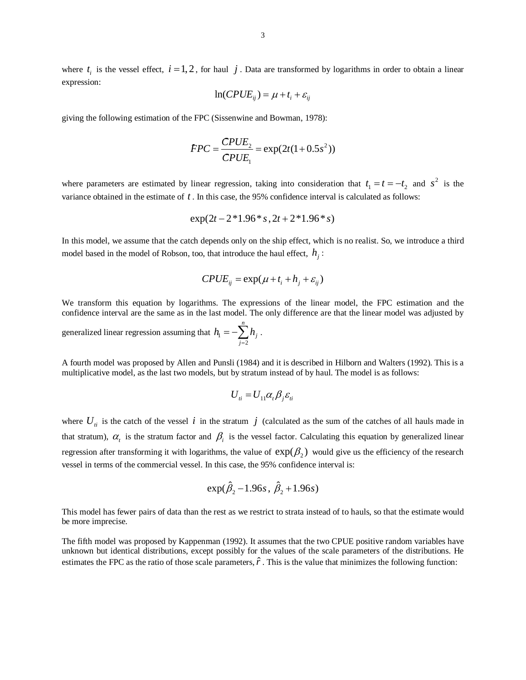$$
\ln(CPUE_{ij}) = \mu + t_i + \varepsilon_{ij}
$$

giving the following estimation of the FPC (Sissenwine and Bowman, 1978):<br>  $FPC = \frac{CPUE_2}{} = \exp(2t(1 + 0.5s^2))$ 

$$
FPC = \frac{CPUE_2}{CPUE_1} = \exp(2t(1 + 0.5s^2))
$$

where parameters are estimated by linear regression, taking into consideration that  $t_1 = t = -t_2$  and  $s^2$  is the variance obtained in the estimate of *t* . In this case, the 95% confidence interval is calculated as follows:

$$
\exp(2t-2*1.96*s, 2t+2*1.96*s)
$$

In this model, we assume that the catch depends only on the ship effect, which is no realist. So, we introduce a third model based in the model of Robson, too, that introduce the haul effect,  $h_i$ :

$$
CPUE_{ij} = \exp(\mu + t_i + h_j + \varepsilon_{ij})
$$

We transform this equation by logarithms. The expressions of the linear model, the FPC estimation and the confidence interval are the same as in the last model. The only difference are that the linear model was adjusted by

generalized linear regression assuming that  $h_{\rm l}$ 2 *n j j*  $h_1 = -\sum h$  $=-\sum_{j=2}^{n} h_j.$ 

A fourth model was proposed by Allen and Punsli (1984) and it is described in Hilborn and Walters (1992). This is a multiplicative model, as the last two models, but by stratum instead of by haul. The model is as follows:

$$
U_{ti} = U_{11} \alpha_t \beta_j \varepsilon_{ti}
$$

where  $U_{ii}$  is the catch of the vessel *i* in the stratum *j* (calculated as the sum of the catches of all hauls made in that stratum),  $\alpha_t$  is the stratum factor and  $\beta_i$  is the vessel factor. Calculating this equation by generalized linear regression after transforming it with logarithms, the value of  $exp(\beta_2)$  would give us the efficiency of the research vessel in terms of the commercial vessel. In this case, the 95% confidence interval is:

$$
exp(\hat{\beta}_2 - 1.96s, \hat{\beta}_2 + 1.96s)
$$

This model has fewer pairs of data than the rest as we restrict to strata instead of to hauls, so that the estimate would be more imprecise.

The fifth model was proposed by Kappenman (1992). It assumes that the two CPUE positive random variables have unknown but identical distributions, except possibly for the values of the scale parameters of the distributions. He estimates the FPC as the ratio of those scale parameters,  $\hat{r}$ . This is the value that minimizes the following function: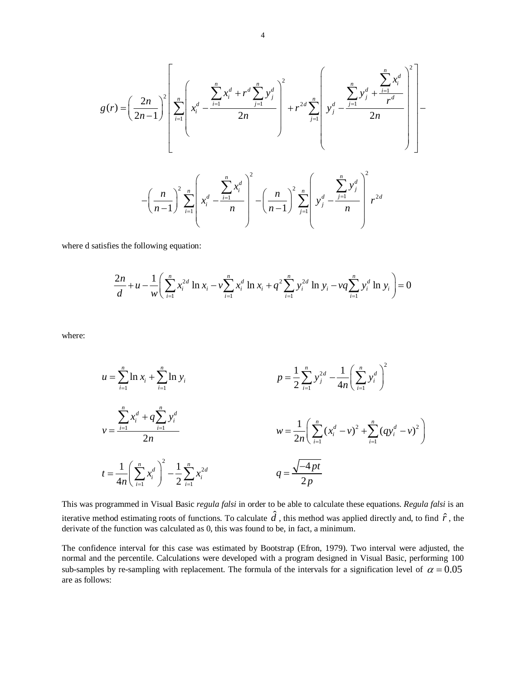$$
g(r) = \left(\frac{2n}{2n-1}\right)^2 \left[ \sum_{i=1}^n \left( x_i^d - \frac{\sum_{i=1}^n x_i^d + r^d \sum_{j=1}^n y_j^d}{2n} \right)^2 + r^{2d} \sum_{j=1}^n \left( y_j^d - \frac{\sum_{j=1}^n y_j^d + \frac{\sum_{i=1}^n x_i^d}{r^d}}{2n} \right)^2 \right] -
$$

$$
-\left(\frac{n}{n-1}\right)^2 \sum_{i=1}^n \left(x_i^d - \frac{\sum_{i=1}^n x_i^d}{n}\right)^2 - \left(\frac{n}{n-1}\right)^2 \sum_{j=1}^n \left(y_j^d - \frac{\sum_{j=1}^n y_j^d}{n}\right)^2 r^{2d}
$$

where d satisfies the following equation:

$$
\frac{2n}{d} + u - \frac{1}{w} \left( \sum_{i=1}^{n} x_i^{2d} \ln x_i - v \sum_{i=1}^{n} x_i^{d} \ln x_i + q^2 \sum_{i=1}^{n} y_i^{2d} \ln y_i - vq \sum_{i=1}^{n} y_i^{d} \ln y_i \right) = 0
$$

where:

$$
u = \sum_{i=1}^{n} \ln x_i + \sum_{i=1}^{n} \ln y_i
$$
\n
$$
p = \frac{1}{2} \sum_{i=1}^{n} y_i^{2d} - \frac{1}{4n} \left( \sum_{i=1}^{n} y_i^{d} \right)^2
$$
\n
$$
v = \frac{\sum_{i=1}^{n} x_i^{d} + q \sum_{i=1}^{n} y_i^{d}}{2n}
$$
\n
$$
w = \frac{1}{2n} \left( \sum_{i=1}^{n} (x_i^{d} - v)^2 + \sum_{i=1}^{n} (q y_i^{d} - v)^2 \right)
$$
\n
$$
t = \frac{1}{4n} \left( \sum_{i=1}^{n} x_i^{d} \right)^2 - \frac{1}{2} \sum_{i=1}^{n} x_i^{2d}
$$
\n
$$
q = \frac{\sqrt{-4pt}}{2p}
$$

This was programmed in Visual Basic *regula falsi* in order to be able to calculate these equations. *Regula falsi* is an iterative method estimating roots of functions. To calculate  $\hat{d}$  , this method was applied directly and, to find  $\hat{r}$  , the derivate of the function was calculated as 0, this was found to be, in fact, a minimum.

The confidence interval for this case was estimated by Bootstrap (Efron, 1979). Two interval were adjusted, the normal and the percentile. Calculations were developed with a program designed in Visual Basic, performing 100 sub-samples by re-sampling with replacement. The formula of the intervals for a signification level of  $\alpha = 0.05$ are as follows: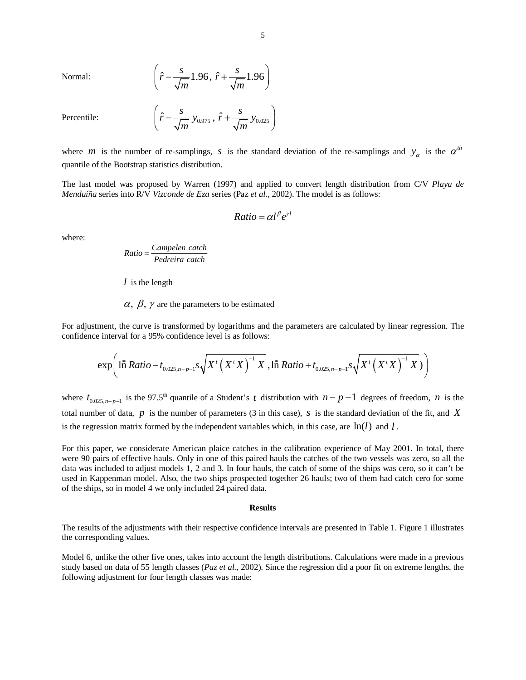Normal:  $\left(\hat{r} - \frac{s}{\sqrt{r}}\right) 1.96, \, \hat{r} + \frac{s}{\sqrt{r}} 1.96$ *m m*  $\left(\hat{r} - \frac{s}{\sqrt{m}} 1.96, \ \hat{r} + \frac{s}{\sqrt{m}} 1.96\right)$ 

Percentile:  $\left(\hat{r} - \frac{s}{\sqrt{2}} y_{0.975}, \hat{r} + \frac{s}{\sqrt{2}} y_{0.025}\right)$  $m \sim 0.975$   $\sqrt{m}$  $\left(\hat{r} - \frac{s}{\sqrt{m}} y_{0.975}, \ \hat{r} + \frac{s}{\sqrt{m}} y_{0.025}\right)$ 

where *m* is the number of re-samplings, *s* is the standard deviation of the re-samplings and  $y_\alpha$  is the  $\alpha^{\mu}$ quantile of the Bootstrap statistics distribution.

The last model was proposed by Warren (1997) and applied to convert length distribution from C/V *Playa de Menduíña* series into R/V *Vizconde de Eza* series (Paz *et al.*, 2002). The model is as follows:

$$
Ratio = \alpha l^{\beta} e^{\gamma l}
$$

where:

$$
Ratio = \frac{Campelen catch}{Pedreira catch}
$$

*l* is the length

 $\alpha$ ,  $\beta$ ,  $\gamma$  are the parameters to be estimated

For adjustment, the curve is transformed by logarithms and the parameters are calculated by linear regression. The confidence interval for a 95% confidence level is as follows:

$$
\exp\left(\ln Ratio - t_{0.025, n-p-1} s \sqrt{X'\left(X'X\right)^{-1} X}, \ln Ratio + t_{0.025, n-p-1} s \sqrt{X'\left(X'X\right)^{-1} X}\right)
$$

where  $t_{0.025, n-p-1}$  is the 97.5<sup>th</sup> quantile of a Student's *t* distribution with  $n-p-1$  degrees of freedom, *n* is the total number of data, *p* is the number of parameters (3 in this case), *s* is the standard deviation of the fit, and *X* is the regression matrix formed by the independent variables which, in this case, are  $\ln(l)$  and *l*.

For this paper, we considerate American plaice catches in the calibration experience of May 2001. In total, there were 90 pairs of effective hauls. Only in one of this paired hauls the catches of the two vessels was zero, so all the data was included to adjust models 1, 2 and 3. In four hauls, the catch of some of the ships was cero, so it can't be used in Kappenman model. Also, the two ships prospected together 26 hauls; two of them had catch cero for some of the ships, so in model 4 we only included 24 paired data.

## **Results**

The results of the adjustments with their respective confidence intervals are presented in Table 1. Figure 1 illustrates the corresponding values.

Model 6, unlike the other five ones, takes into account the length distributions. Calculations were made in a previous study based on data of 55 length classes (*Paz et al.*, 2002). Since the regression did a poor fit on extreme lengths, the following adjustment for four length classes was made: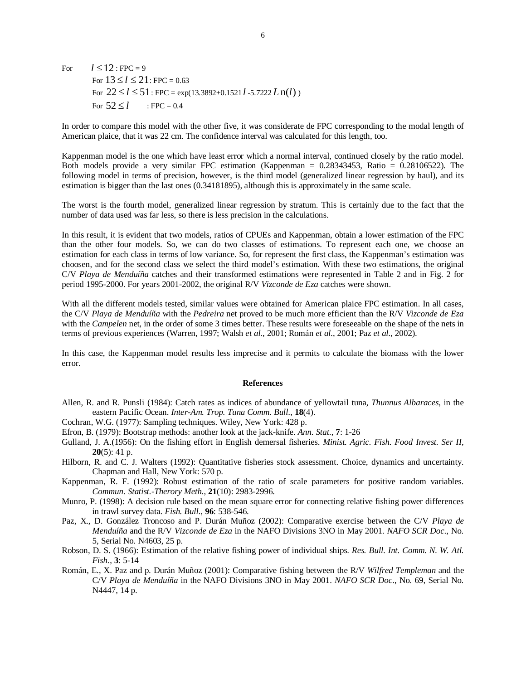For  $l \le 12$ : FPC = 9 For  $13 \le l \le 21$ : FPC = 0.63 For  $22 \le l \le 51$ : FPC = exp(13.3892+0.1521 *l* -5.7222 *L* n(*l*)) For  $52 \le l$  : FPC = 0.4

In order to compare this model with the other five, it was considerate de FPC corresponding to the modal length of American plaice, that it was 22 cm. The confidence interval was calculated for this length, too.

Kappenman model is the one which have least error which a normal interval, continued closely by the ratio model. Both models provide a very similar FPC estimation (Kappenman = 0.28343453, Ratio = 0.28106522). The following model in terms of precision, however, is the third model (generalized linear regression by haul), and its estimation is bigger than the last ones (0.34181895), although this is approximately in the same scale.

The worst is the fourth model, generalized linear regression by stratum. This is certainly due to the fact that the number of data used was far less, so there is less precision in the calculations.

In this result, it is evident that two models, ratios of CPUEs and Kappenman, obtain a lower estimation of the FPC than the other four models. So, we can do two classes of estimations. To represent each one, we choose an estimation for each class in terms of low variance. So, for represent the first class, the Kappenman's estimation was choosen, and for the second class we select the third model's estimation. With these two estimations, the original C/V *Playa de Menduíña* catches and their transformed estimations were represented in Table 2 and in Fig. 2 for period 1995-2000. For years 2001-2002, the original R/V *Vizconde de Eza* catches were shown.

With all the different models tested, similar values were obtained for American plaice FPC estimation. In all cases, the C/V *Playa de Menduíña* with the *Pedreira* net proved to be much more efficient than the R/V *Vizconde de Eza*  with the *Campelen* net, in the order of some 3 times better. These results were foreseeable on the shape of the nets in terms of previous experiences (Warren, 1997; Walsh *et al.*, 2001; Román *et al.*, 2001; Paz *et al.*, 2002).

In this case, the Kappenman model results less imprecise and it permits to calculate the biomass with the lower error.

#### **References**

- Allen, R. and R. Punsli (1984): Catch rates as indices of abundance of yellowtail tuna, *Thunnus Albaraces*, in the eastern Pacific Ocean. *Inter-Am. Trop. Tuna Comm. Bull*., **18**(4).
- Cochran, W.G. (1977): Sampling techniques. Wiley, New York: 428 p.
- Efron, B. (1979): Bootstrap methods: another look at the jack-knife. *Ann. Stat*., **7**: 1-26
- Gulland, J. A.(1956): On the fishing effort in English demersal fisheries. *Minist. Agric. Fish. Food Invest. Ser II*, **20**(5): 41 p.
- Hilborn, R. and C. J. Walters (1992): Quantitative fisheries stock assessment. Choice, dynamics and uncertainty. Chapman and Hall, New York: 570 p.
- Kappenman, R. F. (1992): Robust estimation of the ratio of scale parameters for positive random variables. *Commun. Statist.-Therory Meth*., **21**(10): 2983-2996.
- Munro, P. (1998): A decision rule based on the mean square error for connecting relative fishing power differences in trawl survey data. *Fish. Bull*., **96**: 538-546.
- Paz, X., D. González Troncoso and P. Durán Muñoz (2002): Comparative exercise between the C/V *Playa de Menduíña* and the R/V *Vizconde de Eza* in the NAFO Divisions 3NO in May 2001. *NAFO SCR Doc.*, No. 5, Serial No. N4603, 25 p.
- Robson, D. S. (1966): Estimation of the relative fishing power of individual ships. *Res. Bull. Int. Comm. N. W. Atl. Fish*., **3**: 5-14
- Román, E., X. Paz and p. Durán Muñoz (2001): Comparative fishing between the R/V *Wilfred Templeman* and the C/V *Playa de Menduíña* in the NAFO Divisions 3NO in May 2001. *NAFO SCR Doc*., No. 69, Serial No. N4447, 14 p.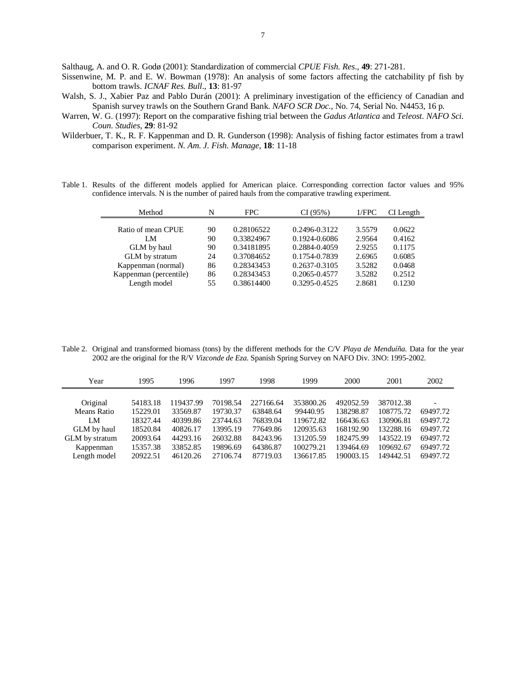Salthaug, A. and O. R. Godø (2001): Standardization of commercial *CPUE Fish. Res*., **49**: 271-281.

- Sissenwine, M. P. and E. W. Bowman (1978): An analysis of some factors affecting the catchability pf fish by bottom trawls. *ICNAF Res. Bull*., **13**: 81-97
- Walsh, S. J., Xabier Paz and Pablo Durán (2001): A preliminary investigation of the efficiency of Canadian and Spanish survey trawls on the Southern Grand Bank. *NAFO SCR Doc*., No. 74, Serial No. N4453, 16 p.
- Warren, W. G. (1997): Report on the comparative fishing trial between the *Gadus Atlantica* and *Teleost*. *NAFO Sci. Coun. Studies*, **29**: 81-92
- Wilderbuer, T. K., R. F. Kappenman and D. R. Gunderson (1998): Analysis of fishing factor estimates from a trawl comparison experiment. *N. Am. J. Fish. Manage*, **18**: 11-18

Table 1. Results of the different models applied for American plaice. Corresponding correction factor values and 95% confidence intervals. N is the number of paired hauls from the comparative trawling experiment.

| Method                 | N  | FPC.       | CI(95%)       | 1/FPC  | CI Length |
|------------------------|----|------------|---------------|--------|-----------|
|                        |    |            |               |        |           |
| Ratio of mean CPUE     | 90 | 0.28106522 | 0.2496-0.3122 | 3.5579 | 0.0622    |
| LM                     | 90 | 0.33824967 | 0.1924-0.6086 | 2.9564 | 0.4162    |
| GLM by haul            | 90 | 0.34181895 | 0.2884-0.4059 | 2.9255 | 0.1175    |
| GLM by stratum         | 24 | 0.37084652 | 0.1754-0.7839 | 2.6965 | 0.6085    |
| Kappenman (normal)     | 86 | 0.28343453 | 0.2637-0.3105 | 3.5282 | 0.0468    |
| Kappenman (percentile) | 86 | 0.28343453 | 0.2065-0.4577 | 3.5282 | 0.2512    |
| Length model           | 55 | 0.38614400 | 0.3295-0.4525 | 2.8681 | 0.1230    |

Table 2. Original and transformed biomass (tons) by the different methods for the C/V *Playa de Menduíña*. Data for the year 2002 are the original for the R/V *Vizconde de Eza*. Spanish Spring Survey on NAFO Div. 3NO: 1995-2002.

| Year           | 1995     | 1996      | 1997     | 1998      | 1999      | 2000      | 2001      | 2002     |
|----------------|----------|-----------|----------|-----------|-----------|-----------|-----------|----------|
|                |          |           |          |           |           |           |           |          |
| Original       | 54183.18 | 119437.99 | 70198.54 | 227166.64 | 353800.26 | 492052.59 | 387012.38 |          |
| Means Ratio    | 15229.01 | 33569.87  | 19730.37 | 63848.64  | 99440.95  | 138298.87 | 108775.72 | 69497.72 |
| LM             | 18327.44 | 40399.86  | 23744.63 | 76839.04  | 119672.82 | 166436.63 | 130906.81 | 69497.72 |
| GLM by haul    | 18520.84 | 40826.17  | 13995.19 | 77649.86  | 120935.63 | 168192.90 | 132288.16 | 69497.72 |
| GLM by stratum | 20093.64 | 44293.16  | 26032.88 | 84243.96  | 131205.59 | 182475.99 | 143522.19 | 69497.72 |
| Kappenman      | 15357.38 | 33852.85  | 19896.69 | 64386.87  | 100279.21 | 139464.69 | 109692.67 | 69497.72 |
| Length model   | 20922.51 | 46120.26  | 27106.74 | 87719.03  | 136617.85 | 190003.15 | 149442.51 | 69497.72 |